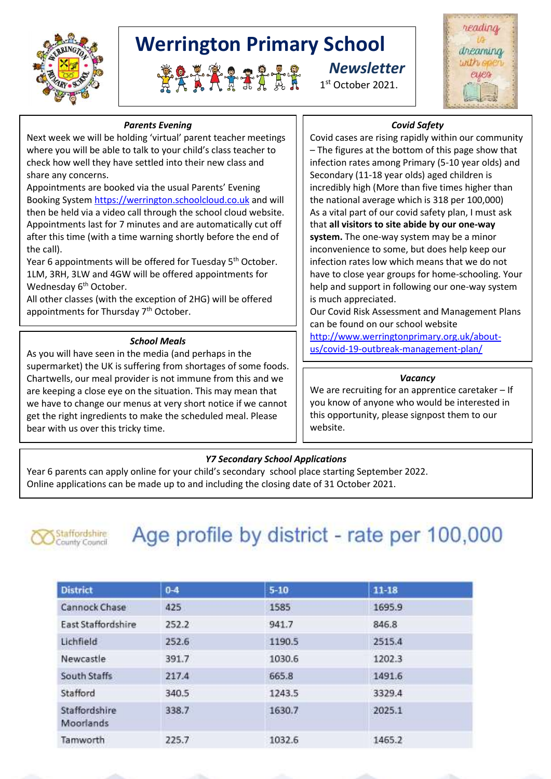

# **Werrington Primary School**

 *Newsletter* RAMARAA BA

1st October 2021.



# *Parents Evening*

Next week we will be holding 'virtual' parent teacher meetings where you will be able to talk to your child's class teacher to check how well they have settled into their new class and share any concerns.

Appointments are booked via the usual Parents' Evening Booking System [https://werrington.schoolcloud.co.uk](https://werrington.schoolcloud.co.uk/) and will then be held via a video call through the school cloud website. Appointments last for 7 minutes and are automatically cut off after this time (with a time warning shortly before the end of the call).

Year 6 appointments will be offered for Tuesday 5<sup>th</sup> October. 1LM, 3RH, 3LW and 4GW will be offered appointments for Wednesday 6<sup>th</sup> October.

All other classes (with the exception of 2HG) will be offered appointments for Thursday 7<sup>th</sup> October.

#### *School Meals*

As you will have seen in the media (and perhaps in the supermarket) the UK is suffering from shortages of some foods. Chartwells, our meal provider is not immune from this and we are keeping a close eye on the situation. This may mean that we have to change our menus at very short notice if we cannot get the right ingredients to make the scheduled meal. Please bear with us over this tricky time.

# *Covid Safety*

Covid cases are rising rapidly within our community – The figures at the bottom of this page show that infection rates among Primary (5-10 year olds) and Secondary (11-18 year olds) aged children is incredibly high (More than five times higher than the national average which is 318 per 100,000) As a vital part of our covid safety plan, I must ask that **all visitors to site abide by our one-way system.** The one-way system may be a minor inconvenience to some, but does help keep our infection rates low which means that we do not have to close year groups for home-schooling. Your help and support in following our one-way system is much appreciated.

Our Covid Risk Assessment and Management Plans can be found on our school website

[http://www.werringtonprimary.org.uk/about](http://www.werringtonprimary.org.uk/about-us/covid-19-outbreak-management-plan/)[us/covid-19-outbreak-management-plan/](http://www.werringtonprimary.org.uk/about-us/covid-19-outbreak-management-plan/)

#### *Vacancy*

We are recruiting for an apprentice caretaker – If you know of anyone who would be interested in this opportunity, please signpost them to our website.

# *Y7 Secondary School Applications*

Year 6 parents can apply online for your child's secondary school place starting September 2022. Online applications can be made up to and including the closing date of 31 October 2021.



# Age profile by district - rate per 100,000

| <b>District</b>            | $0 - 4$      | $5 - 10$ | $11 - 18$ |  |
|----------------------------|--------------|----------|-----------|--|
| Cannock Chase              | 425          | 1585     | 1695.9    |  |
| East Staffordshire         | 252.2        | 941.7    | 846.8     |  |
| Lichfield                  | 252.6        | 1190.5   | 2515.4    |  |
| Newcastle                  | 391.7        | 1030.6   | 1202.3    |  |
| South Staffs               | 217.4        | 665.8    | 1491.6    |  |
| Stafford                   | 340.5        | 1243.5   | 3329.4    |  |
| Staffordshire<br>Moorlands | 338.7<br>--- | 1630.7   | 2025.1    |  |
| Tamworth                   | 225.7        | 1032.6   | 1465.2    |  |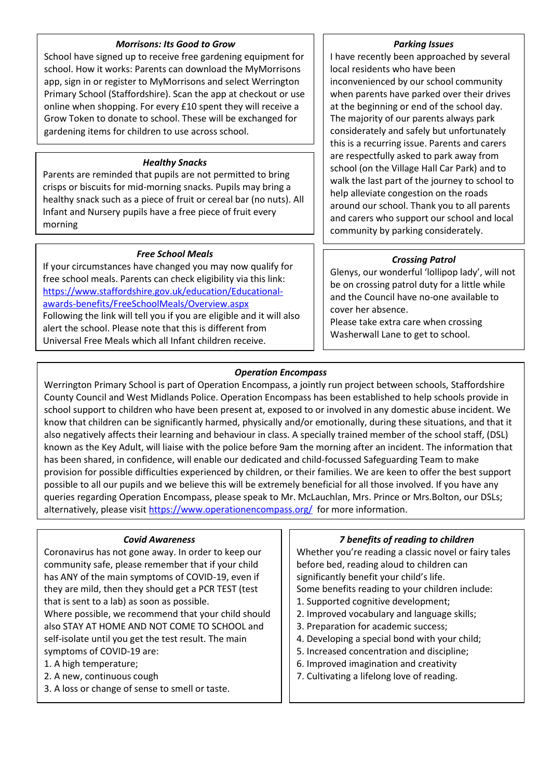# *Morrisons: Its Good to Grow*

School have signed up to receive free gardening equipment for school. How it works: Parents can download the MyMorrisons app, sign in or register to MyMorrisons and select Werrington Primary School (Staffordshire). Scan the app at checkout or use online when shopping. For every £10 spent they will receive a Grow Token to donate to school. These will be exchanged for gardening items for children to use across school.

# *Healthy Snacks*

Parents are reminded that pupils are not permitted to bring crisps or biscuits for mid-morning snacks. Pupils may bring a healthy snack such as a piece of fruit or cereal bar (no nuts). All Infant and Nursery pupils have a free piece of fruit every morning

# *Free School Meals*

If your circumstances have changed you may now qualify for free school meals. Parents can check eligibility via this link: [https://www.staffordshire.gov.uk/education/Educational](https://www.staffordshire.gov.uk/education/Educational-awards-benefits/FreeSchoolMeals/Overview.aspx)[awards-benefits/FreeSchoolMeals/Overview.aspx](https://www.staffordshire.gov.uk/education/Educational-awards-benefits/FreeSchoolMeals/Overview.aspx) Following the link will tell you if you are eligible and it will also alert the school. Please note that this is different from Universal Free Meals which all Infant children receive.

#### *Parking Issues*

I have recently been approached by several local residents who have been inconvenienced by our school community when parents have parked over their drives at the beginning or end of the school day. The majority of our parents always park considerately and safely but unfortunately this is a recurring issue. Parents and carers are respectfully asked to park away from school (on the Village Hall Car Park) and to walk the last part of the journey to school to help alleviate congestion on the roads around our school. Thank you to all parents and carers who support our school and local community by parking considerately.

# *Crossing Patrol*

Glenys, our wonderful 'lollipop lady', will not be on crossing patrol duty for a little while and the Council have no-one available to cover her absence.

Please take extra care when crossing Washerwall Lane to get to school.

# *Operation Encompass*

Werrington Primary School is part of Operation Encompass, a jointly run project between schools, Staffordshire County Council and West Midlands Police. Operation Encompass has been established to help schools provide in school support to children who have been present at, exposed to or involved in any domestic abuse incident. We know that children can be significantly harmed, physically and/or emotionally, during these situations, and that it also negatively affects their learning and behaviour in class. A specially trained member of the school staff, (DSL) known as the Key Adult, will liaise with the police before 9am the morning after an incident. The information that has been shared, in confidence, will enable our dedicated and child-focussed Safeguarding Team to make provision for possible difficulties experienced by children, or their families. We are keen to offer the best support possible to all our pupils and we believe this will be extremely beneficial for all those involved. If you have any queries regarding Operation Encompass, please speak to Mr. McLauchlan, Mrs. Prince or Mrs.Bolton, our DSLs; alternatively, please visi[t https://www.operationencompass.org/](https://www.operationencompass.org/) for more information.

# *Covid Awareness*

Coronavirus has not gone away. In order to keep our community safe, please remember that if your child has ANY of the main symptoms of COVID-19, even if they are mild, then they should get a PCR TEST (test that is sent to a lab) as soon as possible.

Where possible, we recommend that your child should also STAY AT HOME AND NOT COME TO SCHOOL and self-isolate until you get the test result. The main symptoms of COVID-19 are:

- 1. A high temperature;
- 2. A new, continuous cough
- 3. A loss or change of sense to smell or taste.

# *7 benefits of reading to children*

Whether you're reading a classic novel or fairy tales before bed, reading aloud to children can significantly benefit your child's life. Some benefits reading to your children include:

- 1. Supported cognitive development;
- 2. Improved vocabulary and language skills;
- 3. Preparation for academic success;
- 4. Developing a special bond with your child;
- 5. Increased concentration and discipline;
- 6. Improved imagination and creativity
- 7. Cultivating a lifelong love of reading.